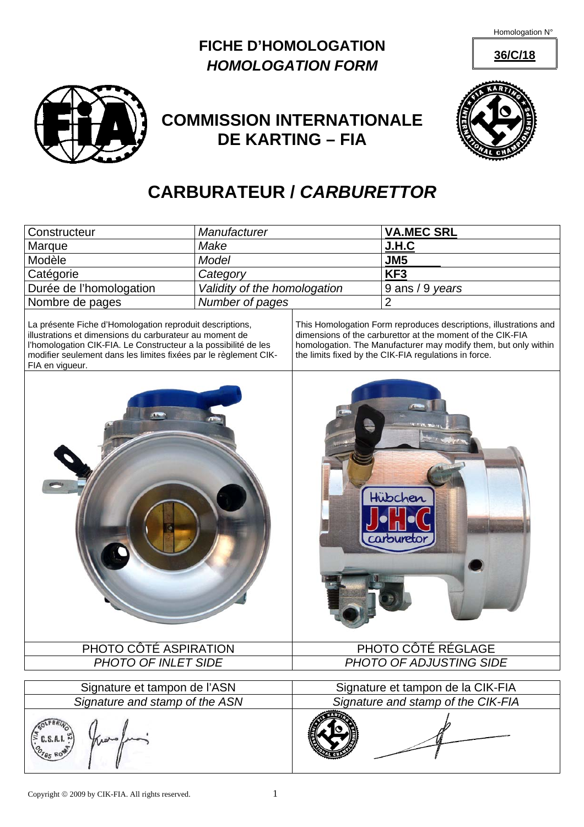Homologation N°

## **36/C/18 FICHE D'HOMOLOGATION**  *HOMOLOGATION FORM*



## **COMMISSION INTERNATIONALE DE KARTING – FIA**



## **CARBURATEUR /** *CARBURETTOR*

| Constructeur                                                                                                                                                                                                                                                                  | Manufacturer                 |                                                                                                                                                                                                                                                             | <b>VA.MEC SRL</b>    |
|-------------------------------------------------------------------------------------------------------------------------------------------------------------------------------------------------------------------------------------------------------------------------------|------------------------------|-------------------------------------------------------------------------------------------------------------------------------------------------------------------------------------------------------------------------------------------------------------|----------------------|
| Make<br>Marque                                                                                                                                                                                                                                                                |                              |                                                                                                                                                                                                                                                             | <u>J.H.C</u>         |
| Modèle                                                                                                                                                                                                                                                                        | <b>Model</b>                 |                                                                                                                                                                                                                                                             | JM5                  |
| Catégorie                                                                                                                                                                                                                                                                     | Category                     |                                                                                                                                                                                                                                                             | KF <sub>3</sub>      |
| Durée de l'homologation                                                                                                                                                                                                                                                       | Validity of the homologation |                                                                                                                                                                                                                                                             | 9 ans / 9 years      |
| Nombre de pages                                                                                                                                                                                                                                                               | Number of pages              |                                                                                                                                                                                                                                                             | $\overline{2}$       |
| La présente Fiche d'Homologation reproduit descriptions,<br>illustrations et dimensions du carburateur au moment de<br>l'homologation CIK-FIA. Le Constructeur a la possibilité de les<br>modifier seulement dans les limites fixées par le règlement CIK-<br>FIA en vigueur. |                              | This Homologation Form reproduces descriptions, illustrations and<br>dimensions of the carburettor at the moment of the CIK-FIA<br>homologation. The Manufacturer may modify them, but only within<br>the limits fixed by the CIK-FIA regulations in force. |                      |
| <b>CALL</b>                                                                                                                                                                                                                                                                   |                              |                                                                                                                                                                                                                                                             | Hübchen<br>carbureto |
| PHOTO CÔTÉ ASPIRATION                                                                                                                                                                                                                                                         |                              | PHOTO CÔTÉ RÉGLAGE                                                                                                                                                                                                                                          |                      |
| PHOTO OF INLET SIDE                                                                                                                                                                                                                                                           |                              | PHOTO OF ADJUSTING SIDE                                                                                                                                                                                                                                     |                      |
| Signature et tampon de l'ASN                                                                                                                                                                                                                                                  |                              | Signature et tampon de la CIK-FIA                                                                                                                                                                                                                           |                      |
| Signature and stamp of the ASN                                                                                                                                                                                                                                                |                              | Signature and stamp of the CIK-FIA                                                                                                                                                                                                                          |                      |
| 50.5.11.5                                                                                                                                                                                                                                                                     |                              |                                                                                                                                                                                                                                                             |                      |